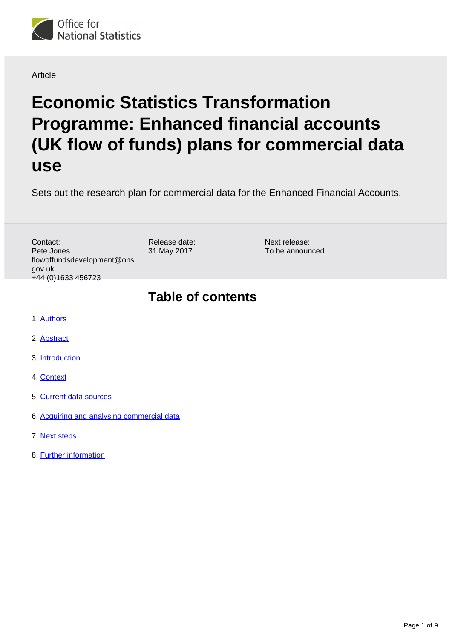

#### **Article**

# **Economic Statistics Transformation Programme: Enhanced financial accounts (UK flow of funds) plans for commercial data use**

Sets out the research plan for commercial data for the Enhanced Financial Accounts.

Contact: Pete Jones flowoffundsdevelopment@ons. gov.uk +44 (0)1633 456723

Release date: 31 May 2017

Next release: To be announced

### **Table of contents**

- 1. [Authors](#page-1-0)
- 2. [Abstract](#page-1-1)
- 3. [Introduction](#page-1-2)
- 4. [Context](#page-1-3)
- 5. [Current data sources](#page-2-0)
- 6. [Acquiring and analysing commercial data](#page-3-0)
- 7. [Next steps](#page-7-0)
- 8. [Further information](#page-7-1)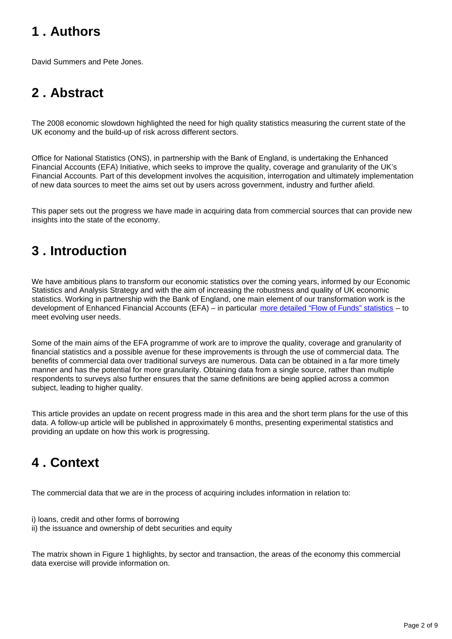# <span id="page-1-0"></span>**1 . Authors**

David Summers and Pete Jones.

# <span id="page-1-1"></span>**2 . Abstract**

The 2008 economic slowdown highlighted the need for high quality statistics measuring the current state of the UK economy and the build-up of risk across different sectors.

Office for National Statistics (ONS), in partnership with the Bank of England, is undertaking the Enhanced Financial Accounts (EFA) Initiative, which seeks to improve the quality, coverage and granularity of the UK's Financial Accounts. Part of this development involves the acquisition, interrogation and ultimately implementation of new data sources to meet the aims set out by users across government, industry and further afield.

This paper sets out the progress we have made in acquiring data from commercial sources that can provide new insights into the state of the economy.

# <span id="page-1-2"></span>**3 . Introduction**

We have ambitious plans to transform our economic statistics over the coming years, informed by our Economic Statistics and Analysis Strategy and with the aim of increasing the robustness and quality of UK economic statistics. Working in partnership with the Bank of England, one main element of our transformation work is the development of Enhanced Financial Accounts (EFA) – in particular [more detailed "Flow of Funds" statistics](https://www.ons.gov.uk/economy/nationalaccounts/uksectoraccounts/articles/economicstatisticstransformationprogramme/developingtheenhancedfinancialaccountsukflowoffunds) – to meet evolving user needs.

Some of the main aims of the EFA programme of work are to improve the quality, coverage and granularity of financial statistics and a possible avenue for these improvements is through the use of commercial data. The benefits of commercial data over traditional surveys are numerous. Data can be obtained in a far more timely manner and has the potential for more granularity. Obtaining data from a single source, rather than multiple respondents to surveys also further ensures that the same definitions are being applied across a common subject, leading to higher quality.

This article provides an update on recent progress made in this area and the short term plans for the use of this data. A follow-up article will be published in approximately 6 months, presenting experimental statistics and providing an update on how this work is progressing.

### <span id="page-1-3"></span>**4 . Context**

The commercial data that we are in the process of acquiring includes information in relation to:

- i) loans, credit and other forms of borrowing
- ii) the issuance and ownership of debt securities and equity

The matrix shown in Figure 1 highlights, by sector and transaction, the areas of the economy this commercial data exercise will provide information on.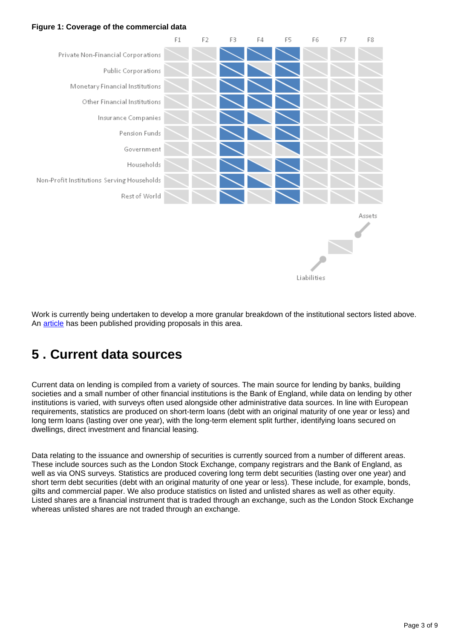#### **Figure 1: Coverage of the commercial data**



Work is currently being undertaken to develop a more granular breakdown of the institutional sectors listed above. An [article](https://www.ons.gov.uk/economy/nationalaccounts/uksectoraccounts/articles/economicstatisticstransformationprogramme/enhancedfinancialaccountsukflowoffundsimprovingtheeconomicsectorbreakdown) has been published providing proposals in this area.

### <span id="page-2-0"></span>**5 . Current data sources**

Current data on lending is compiled from a variety of sources. The main source for lending by banks, building societies and a small number of other financial institutions is the Bank of England, while data on lending by other institutions is varied, with surveys often used alongside other administrative data sources. In line with European requirements, statistics are produced on short-term loans (debt with an original maturity of one year or less) and long term loans (lasting over one year), with the long-term element split further, identifying loans secured on dwellings, direct investment and financial leasing.

Data relating to the issuance and ownership of securities is currently sourced from a number of different areas. These include sources such as the London Stock Exchange, company registrars and the Bank of England, as well as via ONS surveys. Statistics are produced covering long term debt securities (lasting over one year) and short term debt securities (debt with an original maturity of one year or less). These include, for example, bonds, gilts and commercial paper. We also produce statistics on listed and unlisted shares as well as other equity. Listed shares are a financial instrument that is traded through an exchange, such as the London Stock Exchange whereas unlisted shares are not traded through an exchange.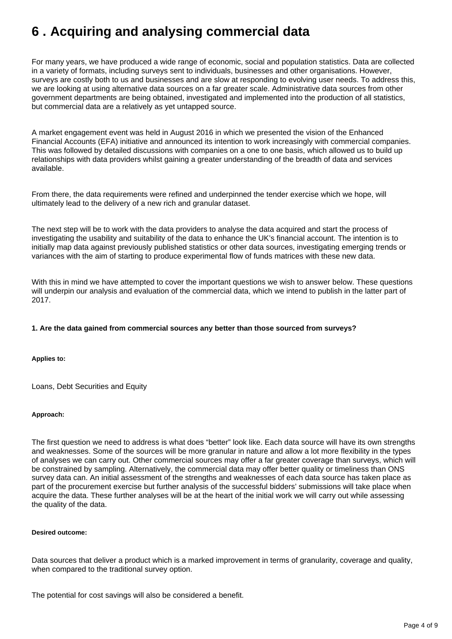# <span id="page-3-0"></span>**6 . Acquiring and analysing commercial data**

For many years, we have produced a wide range of economic, social and population statistics. Data are collected in a variety of formats, including surveys sent to individuals, businesses and other organisations. However, surveys are costly both to us and businesses and are slow at responding to evolving user needs. To address this, we are looking at using alternative data sources on a far greater scale. Administrative data sources from other government departments are being obtained, investigated and implemented into the production of all statistics, but commercial data are a relatively as yet untapped source.

A market engagement event was held in August 2016 in which we presented the vision of the Enhanced Financial Accounts (EFA) initiative and announced its intention to work increasingly with commercial companies. This was followed by detailed discussions with companies on a one to one basis, which allowed us to build up relationships with data providers whilst gaining a greater understanding of the breadth of data and services available.

From there, the data requirements were refined and underpinned the tender exercise which we hope, will ultimately lead to the delivery of a new rich and granular dataset.

The next step will be to work with the data providers to analyse the data acquired and start the process of investigating the usability and suitability of the data to enhance the UK's financial account. The intention is to initially map data against previously published statistics or other data sources, investigating emerging trends or variances with the aim of starting to produce experimental flow of funds matrices with these new data.

With this in mind we have attempted to cover the important questions we wish to answer below. These questions will underpin our analysis and evaluation of the commercial data, which we intend to publish in the latter part of 2017.

#### **1. Are the data gained from commercial sources any better than those sourced from surveys?**

**Applies to:**

Loans, Debt Securities and Equity

#### **Approach:**

The first question we need to address is what does "better" look like. Each data source will have its own strengths and weaknesses. Some of the sources will be more granular in nature and allow a lot more flexibility in the types of analyses we can carry out. Other commercial sources may offer a far greater coverage than surveys, which will be constrained by sampling. Alternatively, the commercial data may offer better quality or timeliness than ONS survey data can. An initial assessment of the strengths and weaknesses of each data source has taken place as part of the procurement exercise but further analysis of the successful bidders' submissions will take place when acquire the data. These further analyses will be at the heart of the initial work we will carry out while assessing the quality of the data.

#### **Desired outcome:**

Data sources that deliver a product which is a marked improvement in terms of granularity, coverage and quality, when compared to the traditional survey option.

The potential for cost savings will also be considered a benefit.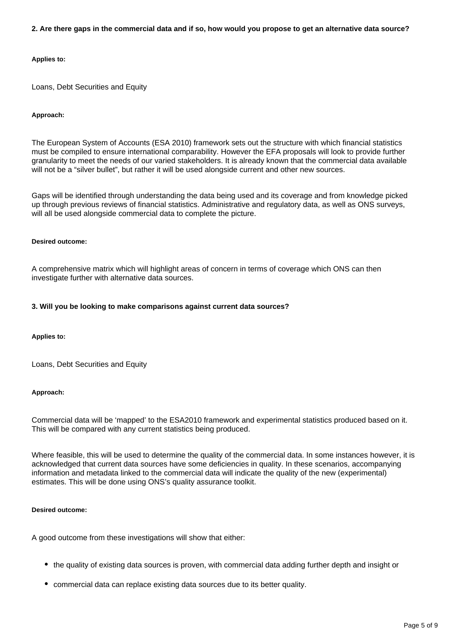#### **2. Are there gaps in the commercial data and if so, how would you propose to get an alternative data source?**

#### **Applies to:**

Loans, Debt Securities and Equity

#### **Approach:**

The European System of Accounts (ESA 2010) framework sets out the structure with which financial statistics must be compiled to ensure international comparability. However the EFA proposals will look to provide further granularity to meet the needs of our varied stakeholders. It is already known that the commercial data available will not be a "silver bullet", but rather it will be used alongside current and other new sources.

Gaps will be identified through understanding the data being used and its coverage and from knowledge picked up through previous reviews of financial statistics. Administrative and regulatory data, as well as ONS surveys, will all be used alongside commercial data to complete the picture.

#### **Desired outcome:**

A comprehensive matrix which will highlight areas of concern in terms of coverage which ONS can then investigate further with alternative data sources.

#### **3. Will you be looking to make comparisons against current data sources?**

#### **Applies to:**

Loans, Debt Securities and Equity

#### **Approach:**

Commercial data will be 'mapped' to the ESA2010 framework and experimental statistics produced based on it. This will be compared with any current statistics being produced.

Where feasible, this will be used to determine the quality of the commercial data. In some instances however, it is acknowledged that current data sources have some deficiencies in quality. In these scenarios, accompanying information and metadata linked to the commercial data will indicate the quality of the new (experimental) estimates. This will be done using ONS's quality assurance toolkit.

#### **Desired outcome:**

A good outcome from these investigations will show that either:

- the quality of existing data sources is proven, with commercial data adding further depth and insight or
- commercial data can replace existing data sources due to its better quality.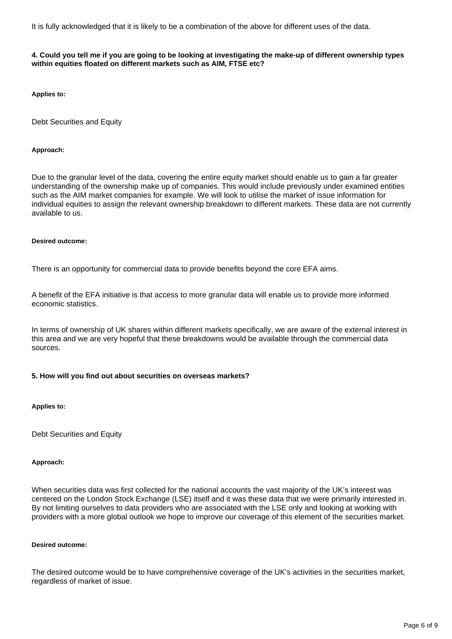It is fully acknowledged that it is likely to be a combination of the above for different uses of the data.

#### **4. Could you tell me if you are going to be looking at investigating the make-up of different ownership types within equities floated on different markets such as AIM, FTSE etc?**

**Applies to:**

Debt Securities and Equity

#### **Approach:**

Due to the granular level of the data, covering the entire equity market should enable us to gain a far greater understanding of the ownership make up of companies. This would include previously under examined entities such as the AIM market companies for example. We will look to utilise the market of issue information for individual equities to assign the relevant ownership breakdown to different markets. These data are not currently available to us.

#### **Desired outcome:**

There is an opportunity for commercial data to provide benefits beyond the core EFA aims.

A benefit of the EFA initiative is that access to more granular data will enable us to provide more informed economic statistics.

In terms of ownership of UK shares within different markets specifically, we are aware of the external interest in this area and we are very hopeful that these breakdowns would be available through the commercial data sources.

#### **5. How will you find out about securities on overseas markets?**

#### **Applies to:**

Debt Securities and Equity

#### **Approach:**

When securities data was first collected for the national accounts the vast majority of the UK's interest was centered on the London Stock Exchange (LSE) itself and it was these data that we were primarily interested in. By not limiting ourselves to data providers who are associated with the LSE only and looking at working with providers with a more global outlook we hope to improve our coverage of this element of the securities market.

#### **Desired outcome:**

The desired outcome would be to have comprehensive coverage of the UK's activities in the securities market, regardless of market of issue.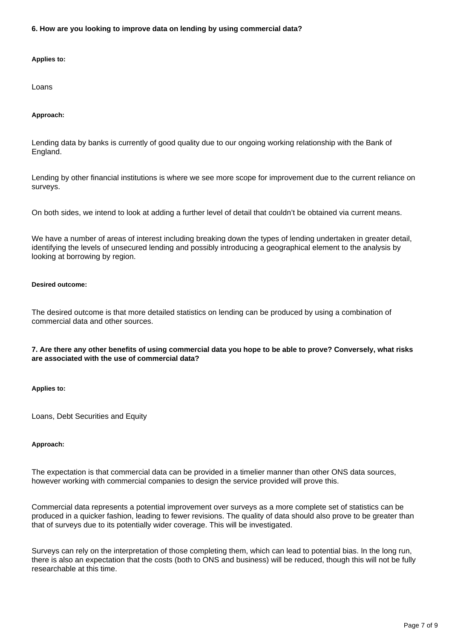**6. How are you looking to improve data on lending by using commercial data?**

#### **Applies to:**

Loans

#### **Approach:**

Lending data by banks is currently of good quality due to our ongoing working relationship with the Bank of England.

Lending by other financial institutions is where we see more scope for improvement due to the current reliance on surveys.

On both sides, we intend to look at adding a further level of detail that couldn't be obtained via current means.

We have a number of areas of interest including breaking down the types of lending undertaken in greater detail, identifying the levels of unsecured lending and possibly introducing a geographical element to the analysis by looking at borrowing by region.

#### **Desired outcome:**

The desired outcome is that more detailed statistics on lending can be produced by using a combination of commercial data and other sources.

#### **7. Are there any other benefits of using commercial data you hope to be able to prove? Conversely, what risks are associated with the use of commercial data?**

#### **Applies to:**

Loans, Debt Securities and Equity

#### **Approach:**

The expectation is that commercial data can be provided in a timelier manner than other ONS data sources, however working with commercial companies to design the service provided will prove this.

Commercial data represents a potential improvement over surveys as a more complete set of statistics can be produced in a quicker fashion, leading to fewer revisions. The quality of data should also prove to be greater than that of surveys due to its potentially wider coverage. This will be investigated.

Surveys can rely on the interpretation of those completing them, which can lead to potential bias. In the long run, there is also an expectation that the costs (both to ONS and business) will be reduced, though this will not be fully researchable at this time.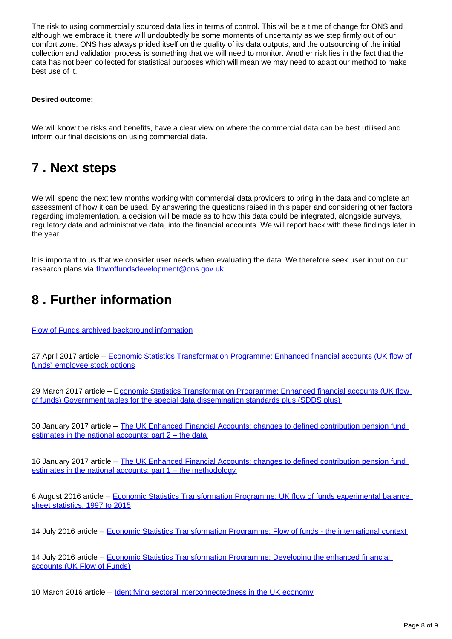The risk to using commercially sourced data lies in terms of control. This will be a time of change for ONS and although we embrace it, there will undoubtedly be some moments of uncertainty as we step firmly out of our comfort zone. ONS has always prided itself on the quality of its data outputs, and the outsourcing of the initial collection and validation process is something that we will need to monitor. Another risk lies in the fact that the data has not been collected for statistical purposes which will mean we may need to adapt our method to make best use of it.

#### **Desired outcome:**

We will know the risks and benefits, have a clear view on where the commercial data can be best utilised and inform our final decisions on using commercial data.

### <span id="page-7-0"></span>**7 . Next steps**

We will spend the next few months working with commercial data providers to bring in the data and complete an assessment of how it can be used. By answering the questions raised in this paper and considering other factors regarding implementation, a decision will be made as to how this data could be integrated, alongside surveys, regulatory data and administrative data, into the financial accounts. We will report back with these findings later in the year.

It is important to us that we consider user needs when evaluating the data. We therefore seek user input on our research plans via flowoffundsdevelopment@ons.gov.uk.

### <span id="page-7-1"></span>**8 . Further information**

[Flow of Funds archived background information](http://webarchive.nationalarchives.gov.uk/20160105160709/http:/www.ons.gov.uk/ons/guide-method/method-quality/specific/economy/national-accounts/changes-to-national-accounts/flow-of-funds--fof-/index.html)

27 April 2017 article – [Economic Statistics Transformation Programme: Enhanced financial accounts \(UK flow of](https://www.ons.gov.uk/economy/nationalaccounts/uksectoraccounts/articles/economicstatisticstransformationprogramme/enhancedfinancialaccountsukflowoffundsemployeestockoptions)  [funds\) employee stock options](https://www.ons.gov.uk/economy/nationalaccounts/uksectoraccounts/articles/economicstatisticstransformationprogramme/enhancedfinancialaccountsukflowoffundsemployeestockoptions)

29 March 2017 article – E[conomic Statistics Transformation Programme: Enhanced financial accounts \(UK flow](https://www.ons.gov.uk/economy/nationalaccounts/uksectoraccounts/articles/economicstatisticstransformationprogramme/enhancedfinancialaccountsukflowoffundsgovernmenttablesforthespecialdatadisseminationstandardsplussdds)  [of funds\) Government tables for the special data dissemination standards plus \(SDDS plus\)](https://www.ons.gov.uk/economy/nationalaccounts/uksectoraccounts/articles/economicstatisticstransformationprogramme/enhancedfinancialaccountsukflowoffundsgovernmenttablesforthespecialdatadisseminationstandardsplussdds)

30 January 2017 article – The UK Enhanced Financial Accounts: changes to defined contribution pension fund [estimates in the national accounts; part 2 – the data](https://www.ons.gov.uk/economy/nationalaccounts/uksectoraccounts/methodologies/theukenhancedfinancialaccountschangestodefinedcontributionpensionfundestimatesinthenationalaccountspart2thedata)

16 January 2017 article – The UK Enhanced Financial Accounts: changes to defined contribution pension fund [estimates in the national accounts; part 1 – the methodology](https://www.ons.gov.uk/economy/nationalaccounts/uksectoraccounts/methodologies/theukenhancedfinancialaccountschangestodefinedcontributionpensionfundestimatesinthenationalaccountspart1themethods)

8 August 2016 article – [Economic Statistics Transformation Programme: UK flow of funds experimental balance](https://www.ons.gov.uk/economy/nationalaccounts/uksectoraccounts/articles/economicstatisticstransformationprogramme/ukflowoffundsexperimentalbalancesheetstatistics1997to2015)  [sheet statistics, 1997 to 2015](https://www.ons.gov.uk/economy/nationalaccounts/uksectoraccounts/articles/economicstatisticstransformationprogramme/ukflowoffundsexperimentalbalancesheetstatistics1997to2015)

14 July 2016 article – [Economic Statistics Transformation Programme: Flow of funds - the international context](https://www.ons.gov.uk/economy/nationalaccounts/uksectoraccounts/articles/economicstatisticstransformationprogramme/flowoffundstheinternationalcontext)

14 July 2016 article – [Economic Statistics Transformation Programme: Developing the enhanced financial](https://www.ons.gov.uk/economy/nationalaccounts/uksectoraccounts/articles/economicstatisticstransformationprogramme/developingtheenhancedfinancialaccountsukflowoffunds)  [accounts \(UK Flow of Funds\)](https://www.ons.gov.uk/economy/nationalaccounts/uksectoraccounts/articles/economicstatisticstransformationprogramme/developingtheenhancedfinancialaccountsukflowoffunds)

10 March 2016 article – [Identifying sectoral interconnectedness in the UK economy](http://www.ons.gov.uk/economy/nationalaccounts/uksectoraccounts/articles/nationalaccountsarticlestheukflowoffundsproject/identifyingsectoralinterconnectednessintheukeconomy)